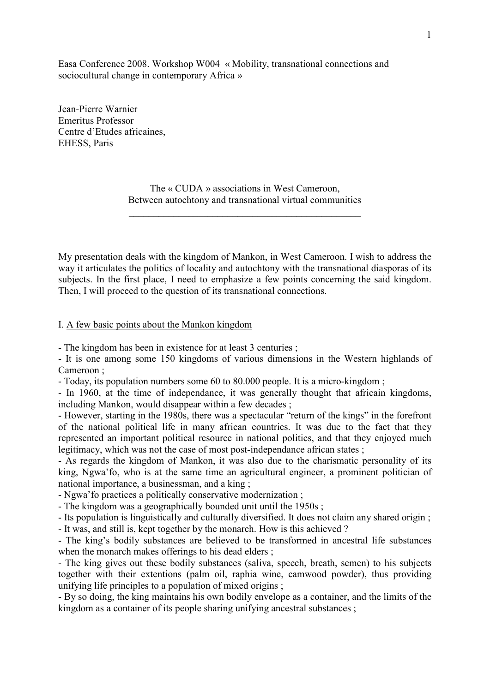Easa Conference 2008. Workshop W004 « Mobility, transnational connections and sociocultural change in contemporary Africa »

Jean-Pierre Warnier Emeritus Professor Centre d'Etudes africaines, EHESS, Paris

> The « CUDA » associations in West Cameroon, Between autochtony and transnational virtual communities

> \_\_\_\_\_\_\_\_\_\_\_\_\_\_\_\_\_\_\_\_\_\_\_\_\_\_\_\_\_\_\_\_\_\_\_\_\_\_\_\_\_\_\_\_\_\_\_

My presentation deals with the kingdom of Mankon, in West Cameroon. I wish to address the way it articulates the politics of locality and autochtony with the transnational diasporas of its subjects. In the first place, I need to emphasize a few points concerning the said kingdom. Then, I will proceed to the question of its transnational connections.

## I. A few basic points about the Mankon kingdom

- The kingdom has been in existence for at least 3 centuries ;

- It is one among some 150 kingdoms of various dimensions in the Western highlands of Cameroon ;

- Today, its population numbers some 60 to 80.000 people. It is a micro-kingdom ;

- In 1960, at the time of independance, it was generally thought that africain kingdoms, including Mankon, would disappear within a few decades ;

- However, starting in the 1980s, there was a spectacular "return of the kings" in the forefront of the national political life in many african countries. It was due to the fact that they represented an important political resource in national politics, and that they enjoyed much legitimacy, which was not the case of most post-independance african states ;

- As regards the kingdom of Mankon, it was also due to the charismatic personality of its king, Ngwa'fo, who is at the same time an agricultural engineer, a prominent politician of national importance, a businessman, and a king ;

- Ngwa'fo practices a politically conservative modernization ;

- The kingdom was a geographically bounded unit until the 1950s ;

- Its population is linguistically and culturally diversified. It does not claim any shared origin ; - It was, and still is, kept together by the monarch. How is this achieved ?

- The king's bodily substances are believed to be transformed in ancestral life substances when the monarch makes offerings to his dead elders ;

- The king gives out these bodily substances (saliva, speech, breath, semen) to his subjects together with their extentions (palm oil, raphia wine, camwood powder), thus providing unifying life principles to a population of mixed origins ;

- By so doing, the king maintains his own bodily envelope as a container, and the limits of the kingdom as a container of its people sharing unifying ancestral substances ;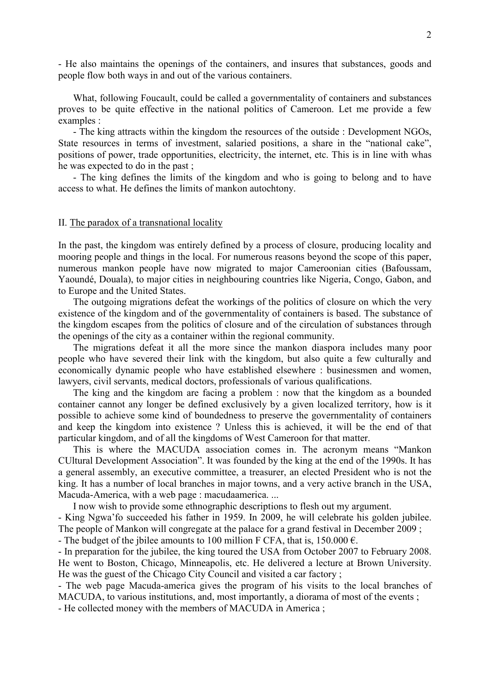- He also maintains the openings of the containers, and insures that substances, goods and people flow both ways in and out of the various containers.

What, following Foucault, could be called a governmentality of containers and substances proves to be quite effective in the national politics of Cameroon. Let me provide a few examples :

- The king attracts within the kingdom the resources of the outside : Development NGOs, State resources in terms of investment, salaried positions, a share in the "national cake", positions of power, trade opportunities, electricity, the internet, etc. This is in line with whas he was expected to do in the past ;

- The king defines the limits of the kingdom and who is going to belong and to have access to what. He defines the limits of mankon autochtony.

## II. The paradox of a transnational locality

In the past, the kingdom was entirely defined by a process of closure, producing locality and mooring people and things in the local. For numerous reasons beyond the scope of this paper, numerous mankon people have now migrated to major Cameroonian cities (Bafoussam, Yaoundé, Douala), to major cities in neighbouring countries like Nigeria, Congo, Gabon, and to Europe and the United States.

The outgoing migrations defeat the workings of the politics of closure on which the very existence of the kingdom and of the governmentality of containers is based. The substance of the kingdom escapes from the politics of closure and of the circulation of substances through the openings of the city as a container within the regional community.

The migrations defeat it all the more since the mankon diaspora includes many poor people who have severed their link with the kingdom, but also quite a few culturally and economically dynamic people who have established elsewhere : businessmen and women, lawyers, civil servants, medical doctors, professionals of various qualifications.

The king and the kingdom are facing a problem : now that the kingdom as a bounded container cannot any longer be defined exclusively by a given localized territory, how is it possible to achieve some kind of boundedness to preserve the governmentality of containers and keep the kingdom into existence ? Unless this is achieved, it will be the end of that particular kingdom, and of all the kingdoms of West Cameroon for that matter.

This is where the MACUDA association comes in. The acronym means "Mankon CUltural Development Association". It was founded by the king at the end of the 1990s. It has a general assembly, an executive committee, a treasurer, an elected President who is not the king. It has a number of local branches in major towns, and a very active branch in the USA, Macuda-America, with a web page : macudaamerica. ...

I now wish to provide some ethnographic descriptions to flesh out my argument.

- King Ngwa'fo succeeded his father in 1959. In 2009, he will celebrate his golden jubilee. The people of Mankon will congregate at the palace for a grand festival in December 2009 ;

- The budget of the jbilee amounts to 100 million F CFA, that is, 150.000  $\epsilon$ .

- In preparation for the jubilee, the king toured the USA from October 2007 to February 2008. He went to Boston, Chicago, Minneapolis, etc. He delivered a lecture at Brown University. He was the guest of the Chicago City Council and visited a car factory ;

- The web page Macuda-america gives the program of his visits to the local branches of MACUDA, to various institutions, and, most importantly, a diorama of most of the events;

- He collected money with the members of MACUDA in America ;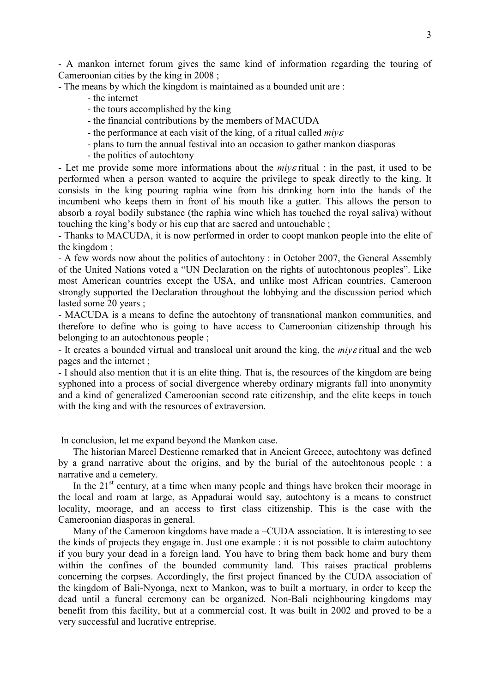- A mankon internet forum gives the same kind of information regarding the touring of Cameroonian cities by the king in 2008 ;

- The means by which the kingdom is maintained as a bounded unit are :

- the internet
- the tours accomplished by the king
- the financial contributions by the members of MACUDA
- the performance at each visit of the king, of a ritual called *miy*<sup>ε</sup>
- plans to turn the annual festival into an occasion to gather mankon diasporas
- the politics of autochtony

- Let me provide some more informations about the *miy*ε ritual : in the past, it used to be performed when a person wanted to acquire the privilege to speak directly to the king. It consists in the king pouring raphia wine from his drinking horn into the hands of the incumbent who keeps them in front of his mouth like a gutter. This allows the person to absorb a royal bodily substance (the raphia wine which has touched the royal saliva) without touching the king's body or his cup that are sacred and untouchable ;

- Thanks to MACUDA, it is now performed in order to coopt mankon people into the elite of the kingdom ;

- A few words now about the politics of autochtony : in October 2007, the General Assembly of the United Nations voted a "UN Declaration on the rights of autochtonous peoples". Like most American countries except the USA, and unlike most African countries, Cameroon strongly supported the Declaration throughout the lobbying and the discussion period which lasted some 20 years ;

- MACUDA is a means to define the autochtony of transnational mankon communities, and therefore to define who is going to have access to Cameroonian citizenship through his belonging to an autochtonous people ;

- It creates a bounded virtual and translocal unit around the king, the *miy*ε ritual and the web pages and the internet ;

- I should also mention that it is an elite thing. That is, the resources of the kingdom are being syphoned into a process of social divergence whereby ordinary migrants fall into anonymity and a kind of generalized Cameroonian second rate citizenship, and the elite keeps in touch with the king and with the resources of extraversion.

In conclusion, let me expand beyond the Mankon case.

The historian Marcel Destienne remarked that in Ancient Greece, autochtony was defined by a grand narrative about the origins, and by the burial of the autochtonous people : a narrative and a cemetery.

In the  $21<sup>st</sup>$  century, at a time when many people and things have broken their moorage in the local and roam at large, as Appadurai would say, autochtony is a means to construct locality, moorage, and an access to first class citizenship. This is the case with the Cameroonian diasporas in general.

Many of the Cameroon kingdoms have made a –CUDA association. It is interesting to see the kinds of projects they engage in. Just one example : it is not possible to claim autochtony if you bury your dead in a foreign land. You have to bring them back home and bury them within the confines of the bounded community land. This raises practical problems concerning the corpses. Accordingly, the first project financed by the CUDA association of the kingdom of Bali-Nyonga, next to Mankon, was to built a mortuary, in order to keep the dead until a funeral ceremony can be organized. Non-Bali neighbouring kingdoms may benefit from this facility, but at a commercial cost. It was built in 2002 and proved to be a very successful and lucrative entreprise.